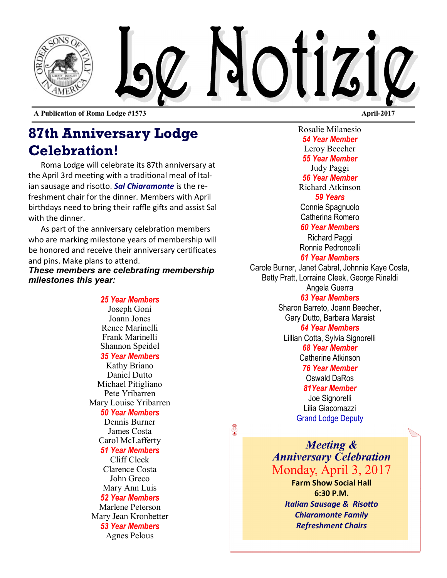



**A Publication of Roma Lodge #1573 April-2017**

# **87th Anniversary Lodge Celebration!**

Roma Lodge will celebrate its 87th anniversary at the April 3rd meeting with a traditional meal of Italian sausage and risotto. **Sal Chiaramonte** is the refreshment chair for the dinner. Members with April birthdays need to bring their raffle gifts and assist Sal with the dinner.

As part of the anniversary celebration members who are marking milestone years of membership will be honored and receive their anniversary certificates and pins. Make plans to attend.

*These members are celebrating membership milestones this year:*

### *25 Year Members*

Joseph Goni Joann Jones Renee Marinelli Frank Marinelli Shannon Speidel

#### *35 Year Members*

Kathy Briano Daniel Dutto Michael Pitigliano Pete Yribarren Mary Louise Yribarren *50 Year Members*

Dennis Burner James Costa Carol McLafferty

### *51 Year Members*

Cliff Cleek Clarence Costa John Greco Mary Ann Luis

## *52 Year Members*

Marlene Peterson Mary Jean Kronbetter *53 Year Members* Agnes Pelous

Rosalie Milanesio *54 Year Member* Leroy Beecher *55 Year Member* Judy Paggi *56 Year Member* Richard Atkinson *59 Years* Connie Spagnuolo Catherina Romero

*60 Year Members*

Richard Paggi Ronnie Pedroncelli

### *61 Year Members*

Carole Burner, Janet Cabral, Johnnie Kaye Costa, Betty Pratt, Lorraine Cleek, George Rinaldi Angela Guerra

## *63 Year Members*

Sharon Barreto, Joann Beecher, Gary Dutto, Barbara Maraist *64 Year Members* Lillian Cotta, Sylvia Signorelli *68 Year Member*

Catherine Atkinson

*76 Year Member*

Oswald DaRos

#### *81Year Member*

Joe Signorelli Lilia Giacomazzi Grand Lodge Deputy

## *Meeting & Anniversary Celebration* Monday, April 3, 2017 **Farm Show Social Hall 6:30 P.M. Italian Sausage & Risotto** *Chiaramonte Family Refreshment Chairs*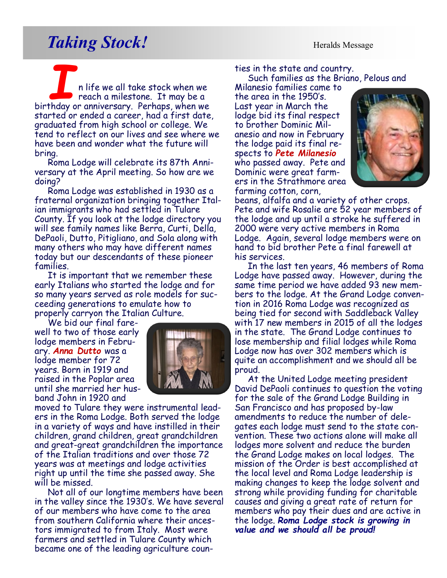# **Taking Stock!** Heralds Message

*I*n life we all take stock when we reach a milestone. It may be a birthday or anniversary. Perhaps, when we started or ended a career, had a first date, graduated from high school or college. We tend to reflect on our lives and see where we have been and wonder what the future will bring.

Roma Lodge will celebrate its 87th Anniversary at the April meeting. So how are we doing?

Roma Lodge was established in 1930 as a fraternal organization bringing together Italian immigrants who had settled in Tulare County. If you look at the lodge directory you will see family names like Berra, Curti, Della, DePaoli, Dutto, Pitigliano, and Sola along with many others who may have different names today but our descendants of these pioneer families.

It is important that we remember these early Italians who started the lodge and for so many years served as role models for succeeding generations to emulate how to properly carryon the Italian Culture.

We bid our final farewell to two of those early lodge members in February. *Anna Dutto* was a lodge member for 72 years. Born in 1919 and raised in the Poplar area until she married her husband John in 1920 and



moved to Tulare they were instrumental leaders in the Roma Lodge. Both served the lodge in a variety of ways and have instilled in their children, grand children, great grandchildren and great-great grandchildren the importance of the Italian traditions and over those 72 years was at meetings and lodge activities right up until the time she passed away. She will be missed.

Not all of our longtime members have been in the valley since the 1930's. We have several of our members who have come to the area from southern California where their ancestors immigrated to from Italy. Most were farmers and settled in Tulare County which became one of the leading agriculture counties in the state and country. Such families as the Briano, Pelous and

Milanesio families came to the area in the 1950's. Last year in March the lodge bid its final respect to brother Dominic Milanesio and now in February the lodge paid its final respects to *Pete Milanesio*  who passed away. Pete and Dominic were great farmers in the Strathmore area farming cotton, corn,



beans, alfalfa and a variety of other crops. Pete and wife Rosalie are 52 year members of the lodge and up until a stroke he suffered in 2000 were very active members in Roma Lodge. Again, several lodge members were on hand to bid brother Pete a final farewell at his services.

In the last ten years, 46 members of Roma Lodge have passed away. However, during the same time period we have added 93 new members to the lodge. At the Grand Lodge convention in 2016 Roma Lodge was recognized as being tied for second with Saddleback Valley with 17 new members in 2015 of all the lodges in the state. The Grand Lodge continues to lose membership and filial lodges while Roma Lodge now has over 302 members which is quite an accomplishment and we should all be proud.

At the United Lodge meeting president David DePaoli continues to question the voting for the sale of the Grand Lodge Building in San Francisco and has proposed by-law amendments to reduce the number of delegates each lodge must send to the state convention. These two actions alone will make all lodges more solvent and reduce the burden the Grand Lodge makes on local lodges. The mission of the Order is best accomplished at the local level and Roma Lodge leadership is making changes to keep the lodge solvent and strong while providing funding for charitable causes and giving a great rate of return for members who pay their dues and are active in the lodge. *Roma Lodge stock is growing in value and we should all be proud!*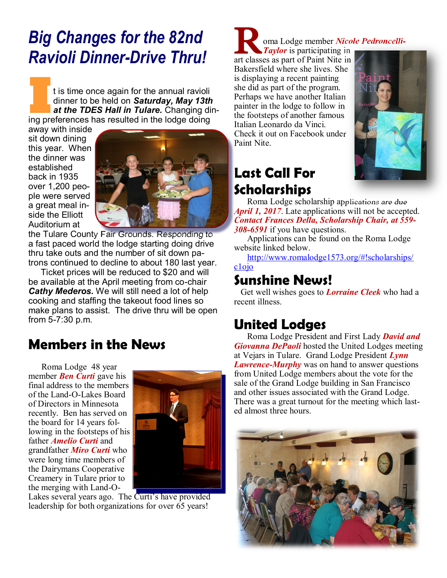# *Big Changes for the 82nd Ravioli Dinner-Drive Thru!*

I is time once again for the annual ravioli<br>
dinner to be held on **Saturday, May 13th**<br> **I** at the TDES Hall in Tulare. Changing ding preferences has resulted in the lodge doing t is time once again for the annual ravioli dinner to be held on *Saturday, May 13th at the TDES Hall in Tulare.* Changing din-

away with inside sit down dining this year. When the dinner was established back in 1935 over 1,200 people were served a great meal inside the Elliott Auditorium at



the Tulare County Fair Grounds. Responding to a fast paced world the lodge starting doing drive thru take outs and the number of sit down patrons continued to decline to about 180 last year.

Ticket prices will be reduced to \$20 and will be available at the April meeting from co-chair *Cathy Mederos.* We will still need a lot of help cooking and staffing the takeout food lines so make plans to assist. The drive thru will be open from 5-7:30 p.m.

# **Members in the News**

Roma Lodge 48 year member *Ben Curti* gave his final address to the members of the Land-O-Lakes Board of Directors in Minnesota recently. Ben has served on the board for 14 years following in the footsteps of his father *Amelio Curti* and grandfather *Miro Curti* who were long time members of the Dairymans Cooperative Creamery in Tulare prior to the merging with Land-O-



Lakes several years ago. The Curti's have provided leadership for both organizations for over 65 years!

## **R** oma Lodge member *Nico*<br> **Taylor** is participating in<br>
art classes as part of Paint Nite in oma Lodge member *Nicole Pedroncelli-Taylor* is participating in

Bakersfield where she lives. She is displaying a recent painting she did as part of the program. Perhaps we have another Italian painter in the lodge to follow in the footsteps of another famous Italian Leonardo da Vinci. Check it out on Facebook under Paint Nite.

# **Last Call For Scholarships**

Roma Lodge scholarship applications are due *April 1, 2017*. Late applications will not be accepted. *Contact Frances Della, Scholarship Chair, at 559-*

*308-6591* if you have questions.

Applications can be found on the Roma Lodge website linked below.

http://www.romalodge1573.org/#!scholarships/ c1ojo

# **Sunshine News!**

Get well wishes goes to *Lorraine Cleek* who had a recent illness.

# **United Lodges**

Roma Lodge President and First Lady *David and Giovanna DePaoli* hosted the United Lodges meeting at Vejars in Tulare. Grand Lodge President *Lynn Lawrence-Murphy* was on hand to answer questions from United Lodge members about the vote for the sale of the Grand Lodge building in San Francisco and other issues associated with the Grand Lodge. There was a great turnout for the meeting which lasted almost three hours.